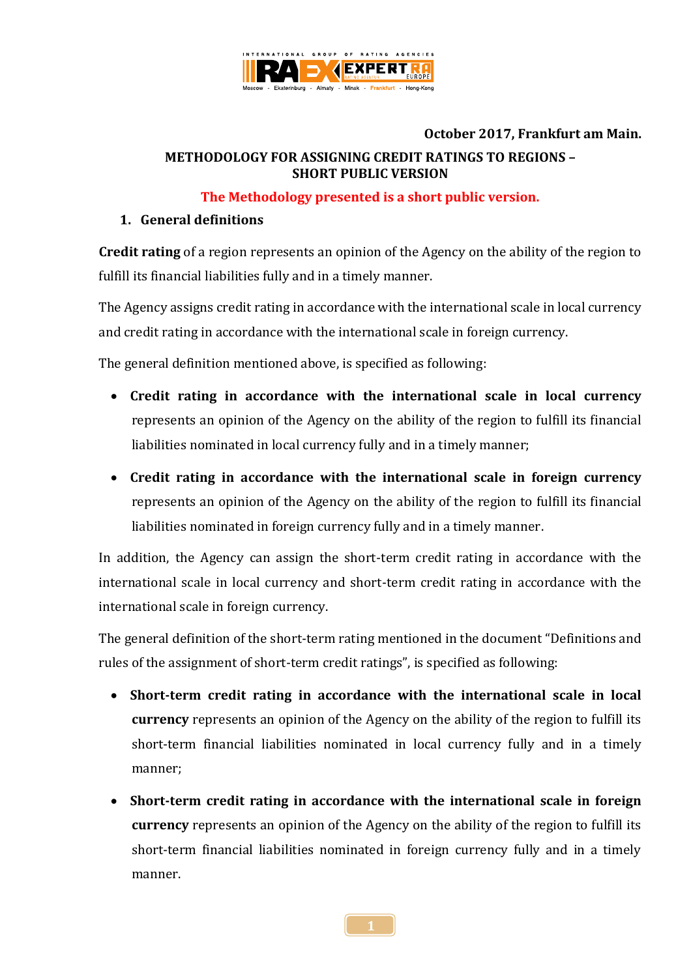

# **October 2017, Frankfurt am Main.**

## **METHODOLOGY FOR ASSIGNING CREDIT RATINGS TO REGIONS – SHORT PUBLIC VERSION**

## **The Methodology presented is a short public version.**

## **1. General definitions**

**Credit rating** of a region represents an opinion of the Agency on the ability of the region to fulfill its financial liabilities fully and in a timely manner.

The Agency assigns credit rating in accordance with the international scale in local currency and credit rating in accordance with the international scale in foreign currency.

The general definition mentioned above, is specified as following:

- **Credit rating in accordance with the international scale in local currency** represents an opinion of the Agency on the ability of the region to fulfill its financial liabilities nominated in local currency fully and in a timely manner;
- **Credit rating in accordance with the international scale in foreign currency** represents an opinion of the Agency on the ability of the region to fulfill its financial liabilities nominated in foreign currency fully and in a timely manner.

In addition, the Agency can assign the short-term credit rating in accordance with the international scale in local currency and short-term credit rating in accordance with the international scale in foreign currency.

The general definition of the short-term rating mentioned in the document "Definitions and rules of the assignment of short-term credit ratings", is specified as following:

- **Short-term credit rating in accordance with the international scale in local currency** represents an opinion of the Agency on the ability of the region to fulfill its short-term financial liabilities nominated in local currency fully and in a timely manner;
- **Short-term credit rating in accordance with the international scale in foreign currency** represents an opinion of the Agency on the ability of the region to fulfill its short-term financial liabilities nominated in foreign currency fully and in a timely manner.

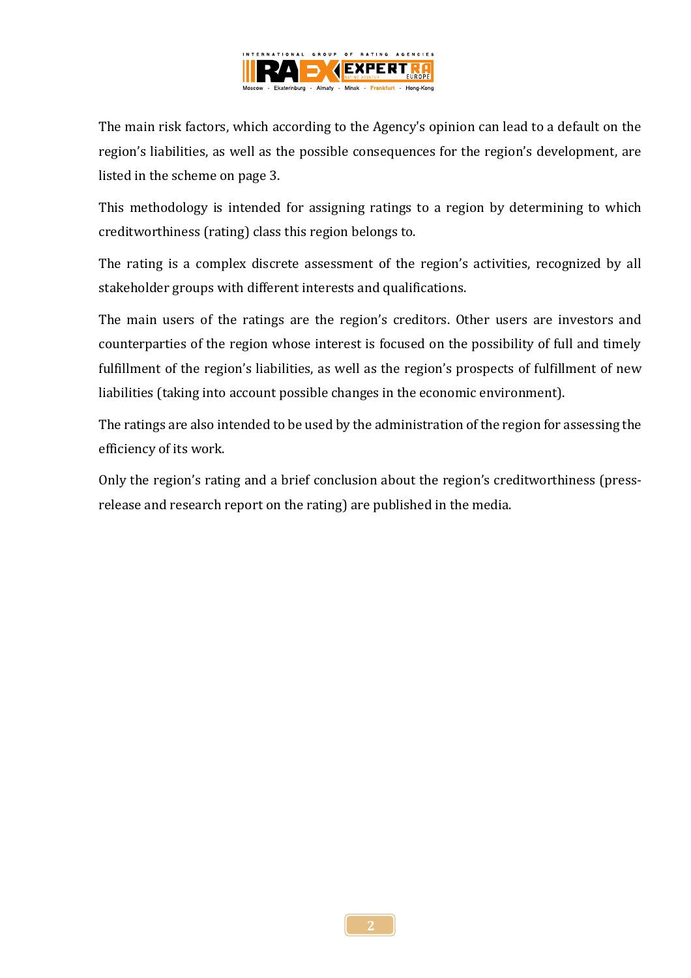

The main risk factors, which according to the Agency's opinion can lead to a default on the region's liabilities, as well as the possible consequences for the region's development, are listed in the scheme on page 3.

This methodology is intended for assigning ratings to a region by determining to which creditworthiness (rating) class this region belongs to.

The rating is a complex discrete assessment of the region's activities, recognized by all stakeholder groups with different interests and qualifications.

The main users of the ratings are the region's creditors. Other users are investors and counterparties of the region whose interest is focused on the possibility of full and timely fulfillment of the region's liabilities, as well as the region's prospects of fulfillment of new liabilities (taking into account possible changes in the economic environment).

The ratings are also intended to be used by the administration of the region for assessing the efficiency of its work.

Only the region's rating and a brief conclusion about the region's creditworthiness (pressrelease and research report on the rating) are published in the media.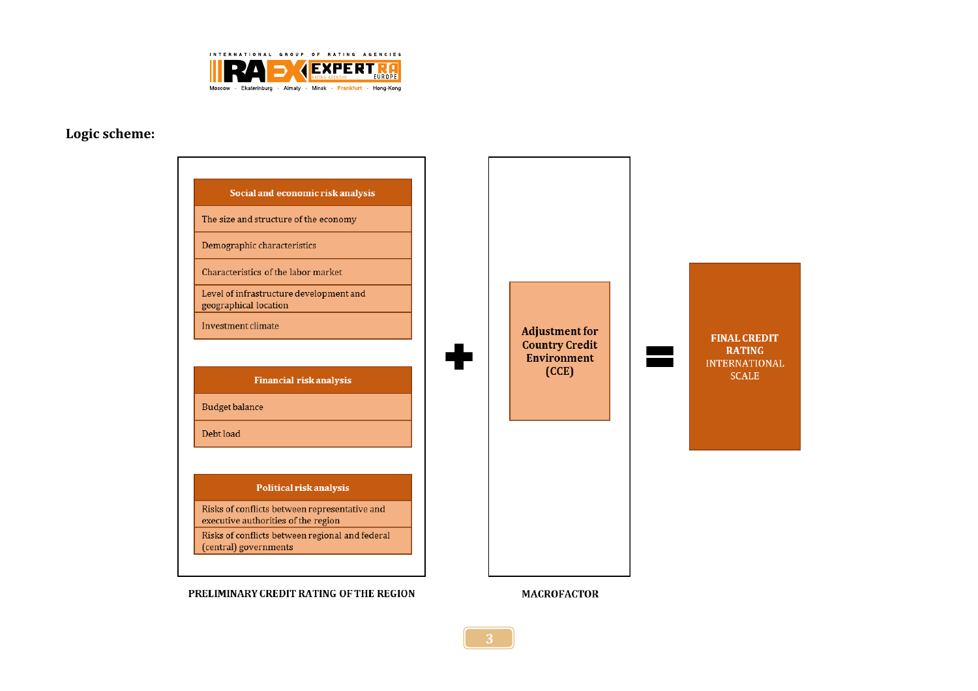

## **Logic scheme:**

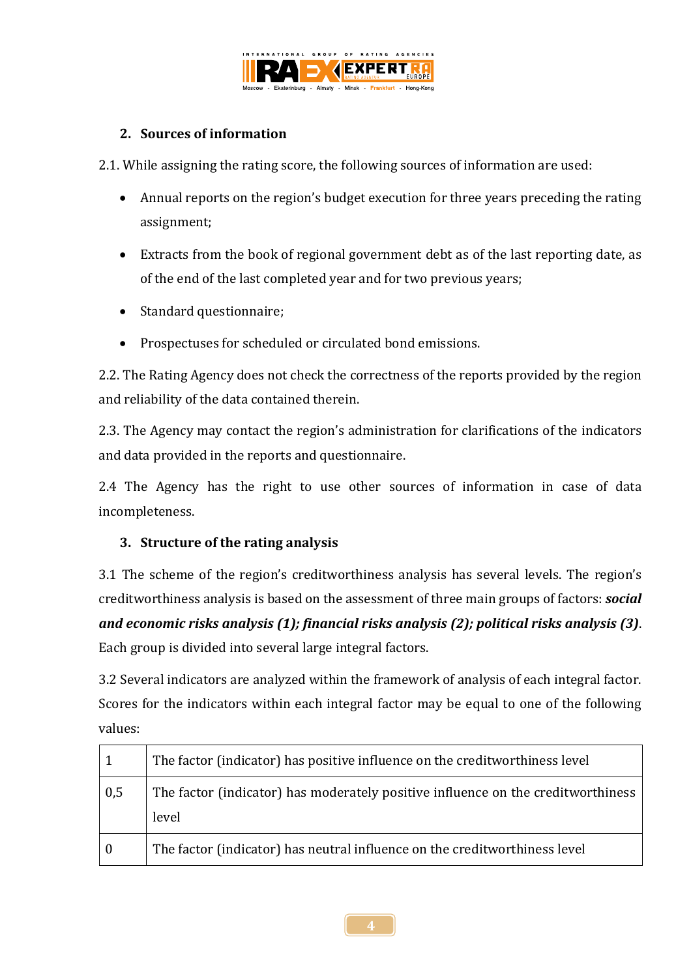

# **2. Sources of information**

2.1. While assigning the rating score, the following sources of information are used:

- Annual reports on the region's budget execution for three years preceding the rating assignment;
- Extracts from the book of regional government debt as of the last reporting date, as of the end of the last completed year and for two previous years;
- Standard questionnaire;
- Prospectuses for scheduled or circulated bond emissions.

2.2. The Rating Agency does not check the correctness of the reports provided by the region and reliability of the data contained therein.

2.3. The Agency may contact the region's administration for clarifications of the indicators and data provided in the reports and questionnaire.

2.4 The Agency has the right to use other sources of information in case of data incompleteness.

# **3. Structure of the rating analysis**

3.1 The scheme of the region's creditworthiness analysis has several levels. The region's creditworthiness analysis is based on the assessment of three main groups of factors: *social and economic risks analysis (1); financial risks analysis (2); political risks analysis (3)*. Each group is divided into several large integral factors.

3.2 Several indicators are analyzed within the framework of analysis of each integral factor. Scores for the indicators within each integral factor may be equal to one of the following values:

| 1        | The factor (indicator) has positive influence on the creditworthiness level               |
|----------|-------------------------------------------------------------------------------------------|
| 0,5      | The factor (indicator) has moderately positive influence on the creditworthiness<br>level |
| $\bf{0}$ | The factor (indicator) has neutral influence on the creditworthiness level                |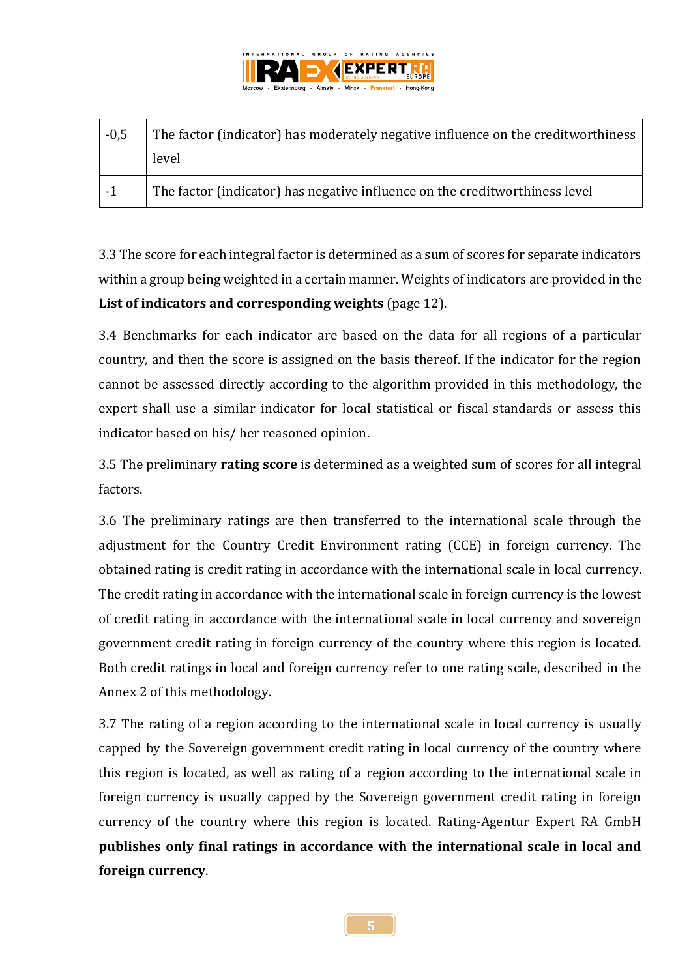

| $-0,5$ | The factor (indicator) has moderately negative influence on the creditworthiness |
|--------|----------------------------------------------------------------------------------|
|        | level                                                                            |
| $-1$   | The factor (indicator) has negative influence on the creditworthiness level      |

3.3 The score for each integral factor is determined as a sum of scores for separate indicators within a group being weighted in a certain manner. Weights of indicators are provided in the **List of indicators and corresponding weights** (page 12).

3.4 Benchmarks for each indicator are based on the data for all regions of a particular country, and then the score is assigned on the basis thereof. If the indicator for the region cannot be assessed directly according to the algorithm provided in this methodology, the expert shall use a similar indicator for local statistical or fiscal standards or assess this indicator based on his/ her reasoned opinion.

3.5 The preliminary **rating score** is determined as a weighted sum of scores for all integral factors.

3.6 The preliminary ratings are then transferred to the international scale through the adjustment for the Country Credit Environment rating (CCE) in foreign currency. The obtained rating is credit rating in accordance with the international scale in local currency. The credit rating in accordance with the international scale in foreign currency is the lowest of credit rating in accordance with the international scale in local currency and sovereign government credit rating in foreign currency of the country where this region is located. Both credit ratings in local and foreign currency refer to one rating scale, described in the Annex 2 of this methodology.

3.7 The rating of a region according to the international scale in local currency is usually capped by the Sovereign government credit rating in local currency of the country where this region is located, as well as rating of a region according to the international scale in foreign currency is usually capped by the Sovereign government credit rating in foreign currency of the country where this region is located. Rating-Agentur Expert RA GmbH **publishes only final ratings in accordance with the international scale in local and foreign currency**.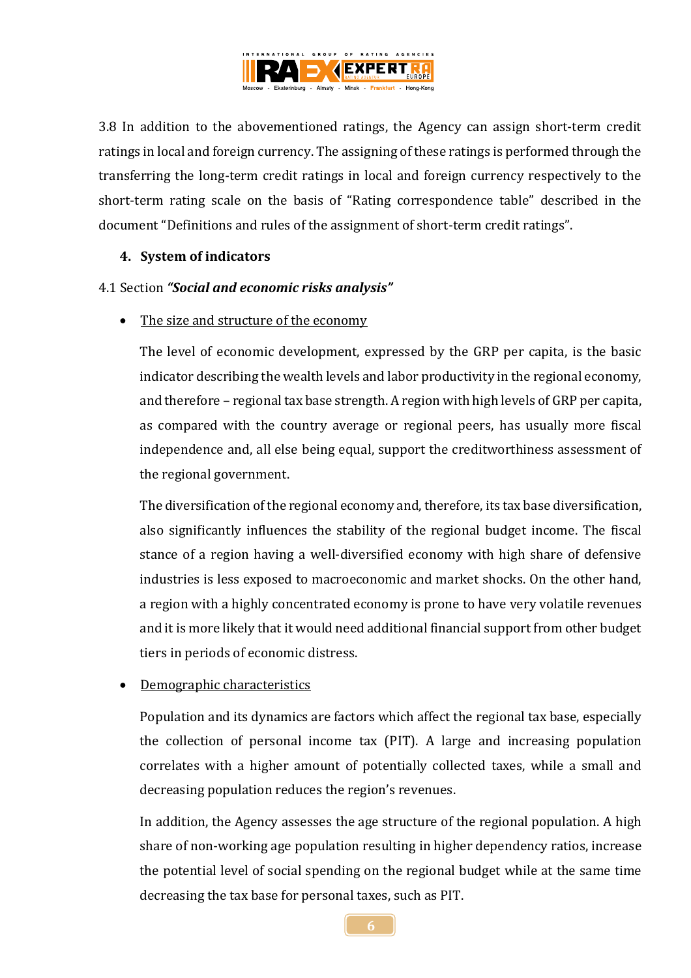

3.8 In addition to the abovementioned ratings, the Agency can assign short-term credit ratings in local and foreign currency. The assigning of these ratings is performed through the transferring the long-term credit ratings in local and foreign currency respectively to the short-term rating scale on the basis of "Rating correspondence table" described in the document "Definitions and rules of the assignment of short-term credit ratings".

## **4. System of indicators**

## 4.1 Section *"Social and economic risks analysis"*

The size and structure of the economy

The level of economic development, expressed by the GRP per capita, is the basic indicator describing the wealth levels and labor productivity in the regional economy, and therefore – regional tax base strength. A region with high levels of GRP per capita, as compared with the country average or regional peers, has usually more fiscal independence and, all else being equal, support the creditworthiness assessment of the regional government.

The diversification of the regional economy and, therefore, its tax base diversification, also significantly influences the stability of the regional budget income. The fiscal stance of a region having a well-diversified economy with high share of defensive industries is less exposed to macroeconomic and market shocks. On the other hand, a region with a highly concentrated economy is prone to have very volatile revenues and it is more likely that it would need additional financial support from other budget tiers in periods of economic distress.

# Demographic characteristics

Population and its dynamics are factors which affect the regional tax base, especially the collection of personal income tax (PIT). A large and increasing population correlates with a higher amount of potentially collected taxes, while a small and decreasing population reduces the region's revenues.

In addition, the Agency assesses the age structure of the regional population. A high share of non-working age population resulting in higher dependency ratios, increase the potential level of social spending on the regional budget while at the same time decreasing the tax base for personal taxes, such as PIT.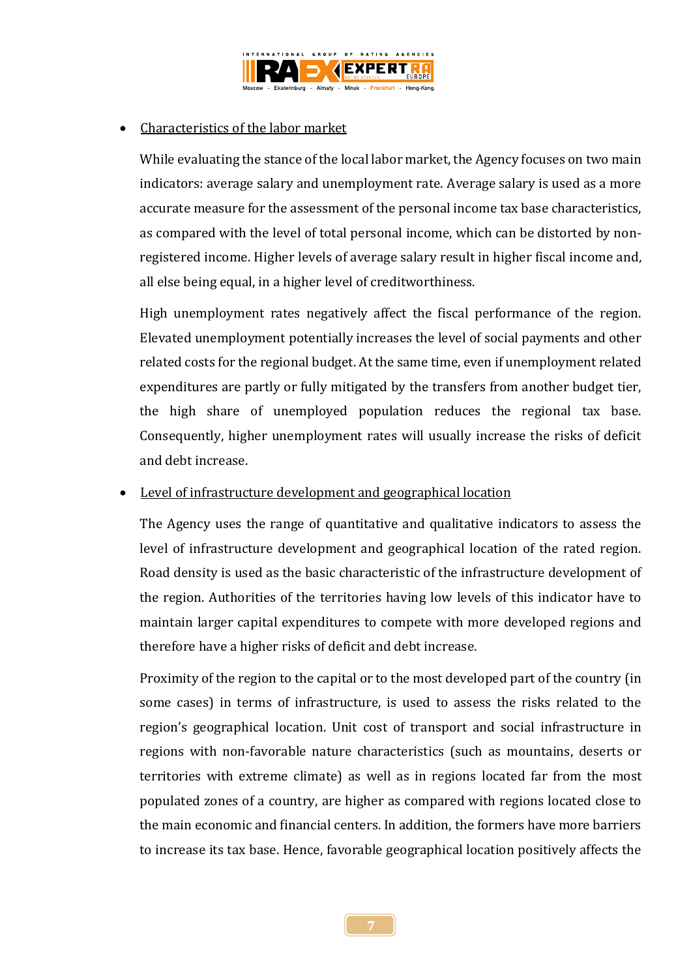

## Characteristics of the labor market

While evaluating the stance of the local labor market, the Agency focuses on two main indicators: average salary and unemployment rate. Average salary is used as a more accurate measure for the assessment of the personal income tax base characteristics, as compared with the level of total personal income, which can be distorted by nonregistered income. Higher levels of average salary result in higher fiscal income and, all else being equal, in a higher level of creditworthiness.

High unemployment rates negatively affect the fiscal performance of the region. Elevated unemployment potentially increases the level of social payments and other related costs for the regional budget. At the same time, even if unemployment related expenditures are partly or fully mitigated by the transfers from another budget tier, the high share of unemployed population reduces the regional tax base. Consequently, higher unemployment rates will usually increase the risks of deficit and debt increase.

## Level of infrastructure development and geographical location

The Agency uses the range of quantitative and qualitative indicators to assess the level of infrastructure development and geographical location of the rated region. Road density is used as the basic characteristic of the infrastructure development of the region. Authorities of the territories having low levels of this indicator have to maintain larger capital expenditures to compete with more developed regions and therefore have a higher risks of deficit and debt increase.

Proximity of the region to the capital or to the most developed part of the country (in some cases) in terms of infrastructure, is used to assess the risks related to the region's geographical location. Unit cost of transport and social infrastructure in regions with non-favorable nature characteristics (such as mountains, deserts or territories with extreme climate) as well as in regions located far from the most populated zones of a country, are higher as compared with regions located close to the main economic and financial centers. In addition, the formers have more barriers to increase its tax base. Hence, favorable geographical location positively affects the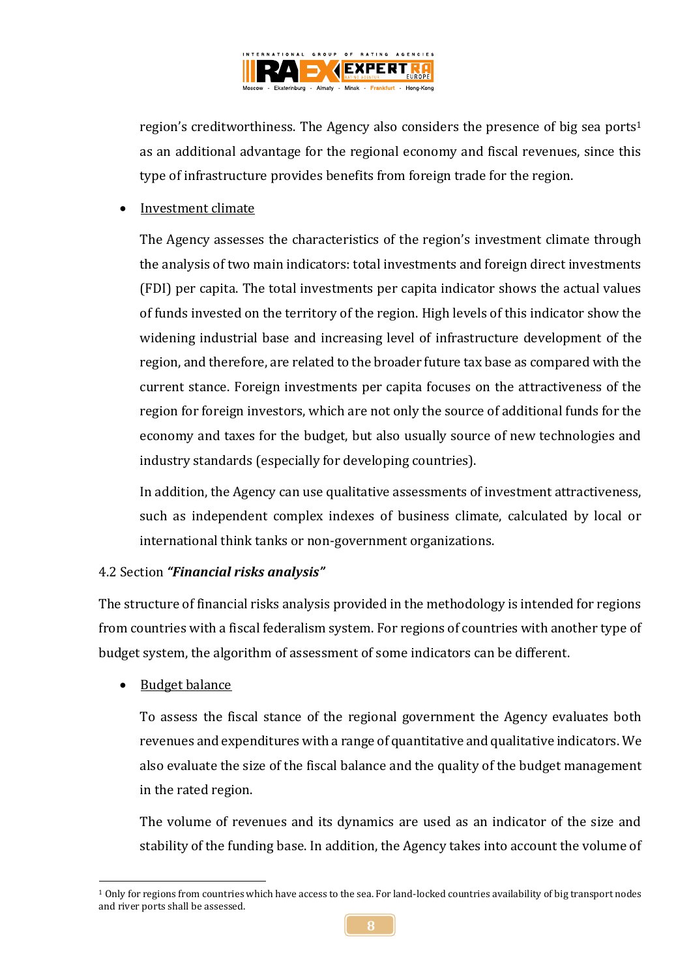

region's creditworthiness. The Agency also considers the presence of big sea ports 1 as an additional advantage for the regional economy and fiscal revenues, since this type of infrastructure provides benefits from foreign trade for the region.

• Investment climate

The Agency assesses the characteristics of the region's investment climate through the analysis of two main indicators: total investments and foreign direct investments (FDI) per capita. The total investments per capita indicator shows the actual values of funds invested on the territory of the region. High levels of this indicator show the widening industrial base and increasing level of infrastructure development of the region, and therefore, are related to the broader future tax base as compared with the current stance. Foreign investments per capita focuses on the attractiveness of the region for foreign investors, which are not only the source of additional funds for the economy and taxes for the budget, but also usually source of new technologies and industry standards (especially for developing countries).

In addition, the Agency can use qualitative assessments of investment attractiveness, such as independent complex indexes of business climate, calculated by local or international think tanks or non-government organizations.

## 4.2 Section *"Financial risks analysis"*

The structure of financial risks analysis provided in the methodology is intended for regions from countries with a fiscal federalism system. For regions of countries with another type of budget system, the algorithm of assessment of some indicators can be different.

Budget balance

To assess the fiscal stance of the regional government the Agency evaluates both revenues and expenditures with a range of quantitative and qualitative indicators. We also evaluate the size of the fiscal balance and the quality of the budget management in the rated region.

The volume of revenues and its dynamics are used as an indicator of the size and stability of the funding base. In addition, the Agency takes into account the volume of

<sup>1</sup>  $1$  Only for regions from countries which have access to the sea. For land-locked countries availability of big transport nodes and river ports shall be assessed.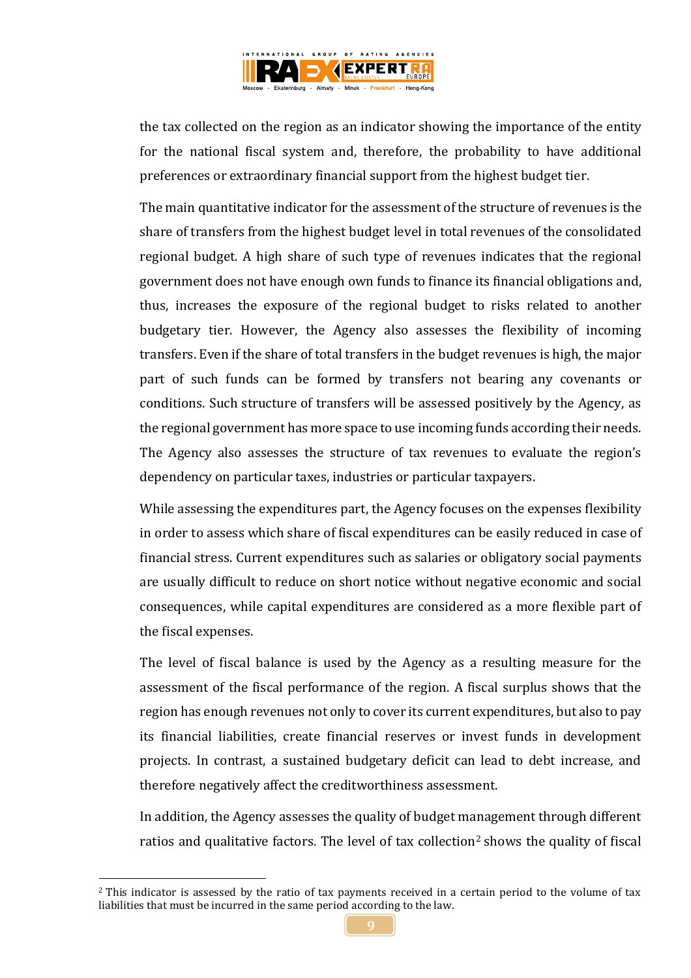

the tax collected on the region as an indicator showing the importance of the entity for the national fiscal system and, therefore, the probability to have additional preferences or extraordinary financial support from the highest budget tier.

The main quantitative indicator for the assessment of the structure of revenues is the share of transfers from the highest budget level in total revenues of the consolidated regional budget. A high share of such type of revenues indicates that the regional government does not have enough own funds to finance its financial obligations and, thus, increases the exposure of the regional budget to risks related to another budgetary tier. However, the Agency also assesses the flexibility of incoming transfers. Even if the share of total transfers in the budget revenues is high, the major part of such funds can be formed by transfers not bearing any covenants or conditions. Such structure of transfers will be assessed positively by the Agency, as the regional government has more space to use incoming funds according their needs. The Agency also assesses the structure of tax revenues to evaluate the region's dependency on particular taxes, industries or particular taxpayers.

While assessing the expenditures part, the Agency focuses on the expenses flexibility in order to assess which share of fiscal expenditures can be easily reduced in case of financial stress. Current expenditures such as salaries or obligatory social payments are usually difficult to reduce on short notice without negative economic and social consequences, while capital expenditures are considered as a more flexible part of the fiscal expenses.

The level of fiscal balance is used by the Agency as a resulting measure for the assessment of the fiscal performance of the region. A fiscal surplus shows that the region has enough revenues not only to cover its current expenditures, but also to pay its financial liabilities, create financial reserves or invest funds in development projects. In contrast, a sustained budgetary deficit can lead to debt increase, and therefore negatively affect the creditworthiness assessment.

In addition, the Agency assesses the quality of budget management through different ratios and qualitative factors. The level of tax collection<sup>2</sup> shows the quality of fiscal

1

<sup>&</sup>lt;sup>2</sup> This indicator is assessed by the ratio of tax payments received in a certain period to the volume of tax liabilities that must be incurred in the same period according to the law.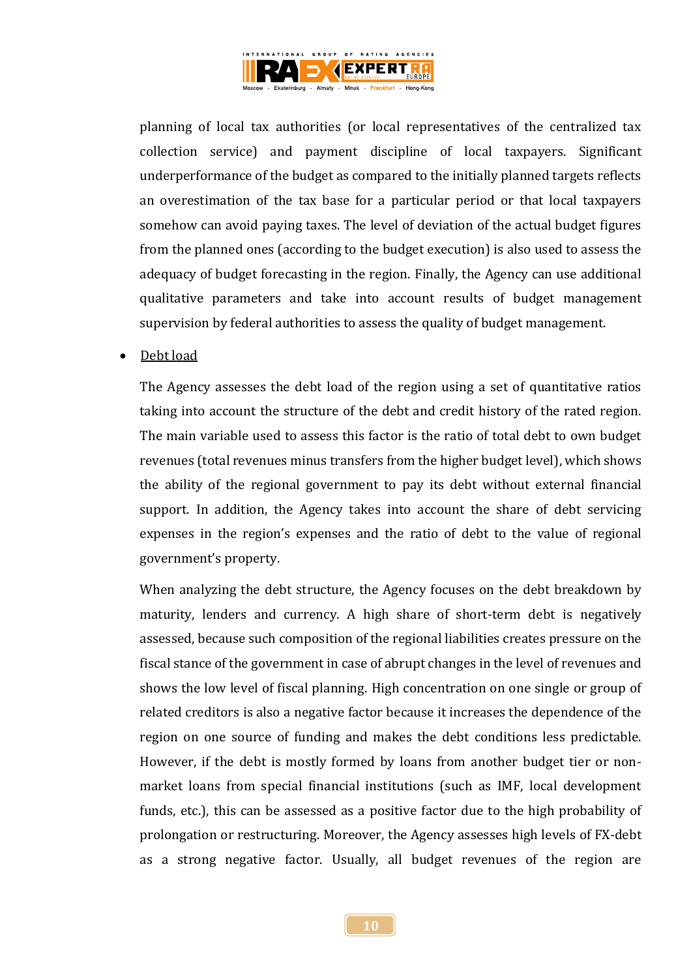

planning of local tax authorities (or local representatives of the centralized tax collection service) and payment discipline of local taxpayers. Significant underperformance of the budget as compared to the initially planned targets reflects an overestimation of the tax base for a particular period or that local taxpayers somehow can avoid paying taxes. The level of deviation of the actual budget figures from the planned ones (according to the budget execution) is also used to assess the adequacy of budget forecasting in the region. Finally, the Agency can use additional qualitative parameters and take into account results of budget management supervision by federal authorities to assess the quality of budget management.

## Debt load

The Agency assesses the debt load of the region using a set of quantitative ratios taking into account the structure of the debt and credit history of the rated region. The main variable used to assess this factor is the ratio of total debt to own budget revenues (total revenues minus transfers from the higher budget level), which shows the ability of the regional government to pay its debt without external financial support. In addition, the Agency takes into account the share of debt servicing expenses in the region's expenses and the ratio of debt to the value of regional government's property.

When analyzing the debt structure, the Agency focuses on the debt breakdown by maturity, lenders and currency. A high share of short-term debt is negatively assessed, because such composition of the regional liabilities creates pressure on the fiscal stance of the government in case of abrupt changes in the level of revenues and shows the low level of fiscal planning. High concentration on one single or group of related creditors is also a negative factor because it increases the dependence of the region on one source of funding and makes the debt conditions less predictable. However, if the debt is mostly formed by loans from another budget tier or nonmarket loans from special financial institutions (such as IMF, local development funds, etc.), this can be assessed as a positive factor due to the high probability of prolongation or restructuring. Moreover, the Agency assesses high levels of FX-debt as a strong negative factor. Usually, all budget revenues of the region are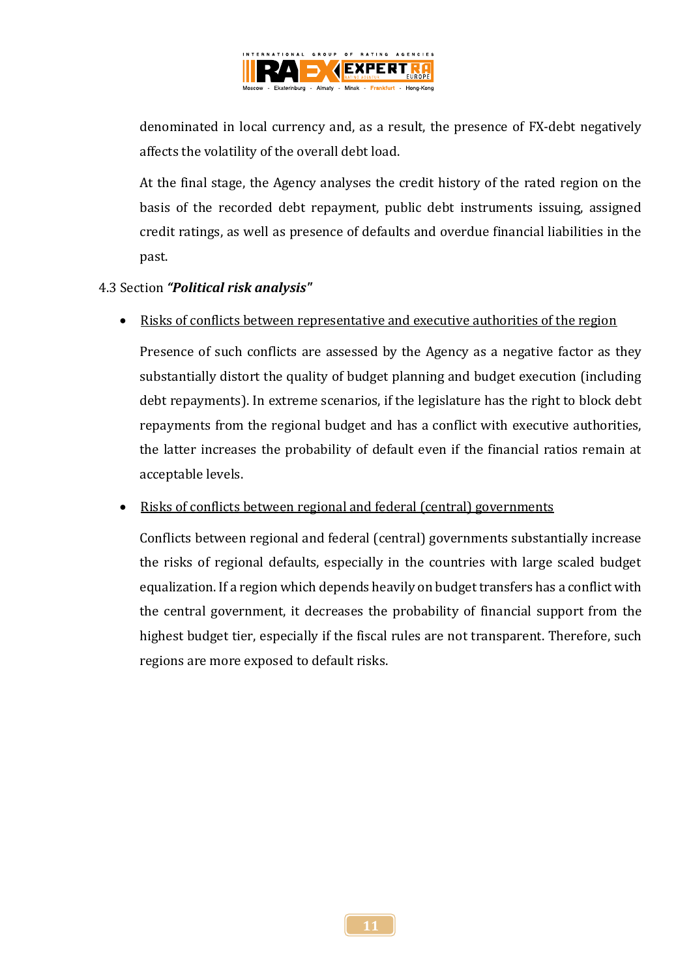

denominated in local currency and, as a result, the presence of FX-debt negatively affects the volatility of the overall debt load.

At the final stage, the Agency analyses the credit history of the rated region on the basis of the recorded debt repayment, public debt instruments issuing, assigned credit ratings, as well as presence of defaults and overdue financial liabilities in the past.

## 4.3 Section *"Political risk analysis"*

Risks of conflicts between representative and executive authorities of the region

Presence of such conflicts are assessed by the Agency as a negative factor as they substantially distort the quality of budget planning and budget execution (including debt repayments). In extreme scenarios, if the legislature has the right to block debt repayments from the regional budget and has a conflict with executive authorities, the latter increases the probability of default even if the financial ratios remain at acceptable levels.

# • Risks of conflicts between regional and federal (central) governments

Conflicts between regional and federal (central) governments substantially increase the risks of regional defaults, especially in the countries with large scaled budget equalization. If a region which depends heavily on budget transfers has a conflict with the central government, it decreases the probability of financial support from the highest budget tier, especially if the fiscal rules are not transparent. Therefore, such regions are more exposed to default risks.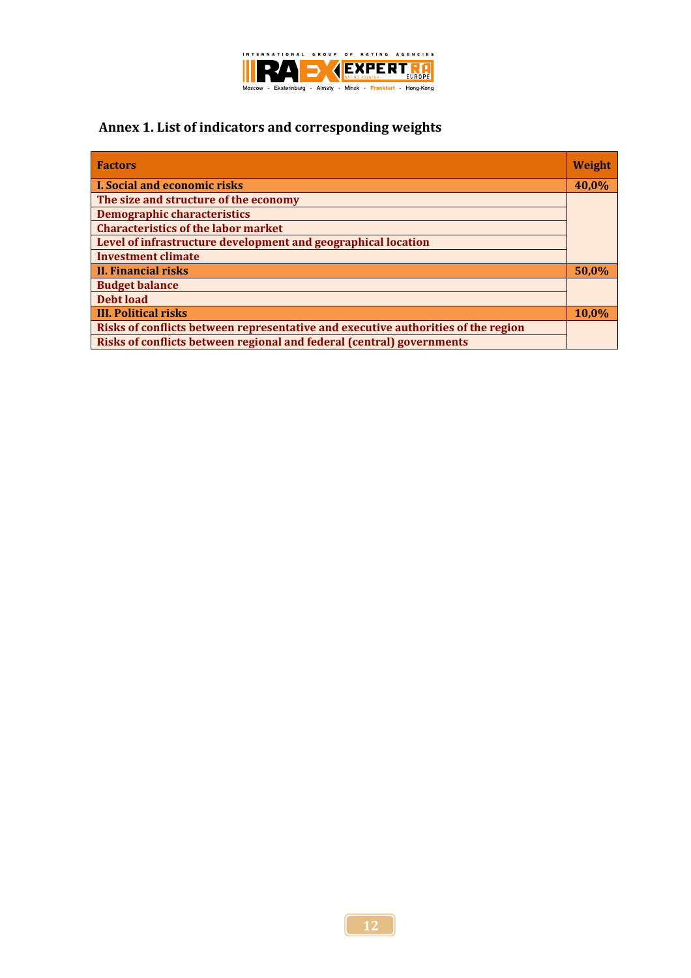

# **Annex 1. List of indicators and corresponding weights**

| <b>Factors</b>                                                                    | <b>Weight</b> |
|-----------------------------------------------------------------------------------|---------------|
| <b>I. Social and economic risks</b>                                               | 40,0%         |
| The size and structure of the economy                                             |               |
| <b>Demographic characteristics</b>                                                |               |
| <b>Characteristics of the labor market</b>                                        |               |
| Level of infrastructure development and geographical location                     |               |
| <b>Investment climate</b>                                                         |               |
| II. Financial risks                                                               | 50,0%         |
| <b>Budget balance</b>                                                             |               |
| Debt load                                                                         |               |
| <b>III. Political risks</b>                                                       | 10.0%         |
| Risks of conflicts between representative and executive authorities of the region |               |
| Risks of conflicts between regional and federal (central) governments             |               |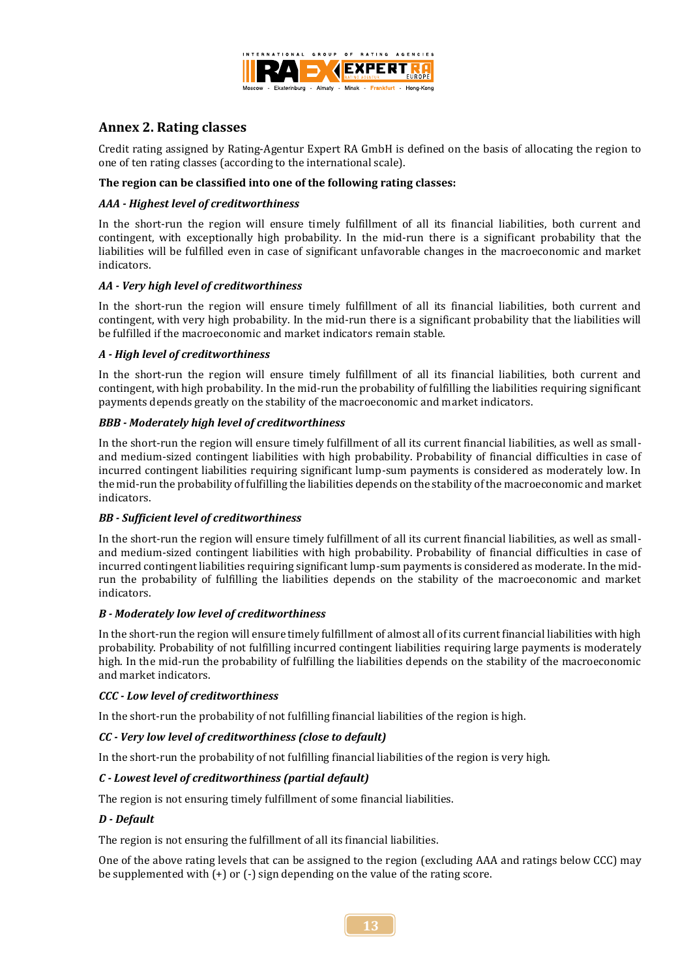

## **Annex 2. Rating classes**

Credit rating assigned by Rating-Agentur Expert RA GmbH is defined on the basis of allocating the region to one of ten rating classes (according to the international scale).

### **The region can be classified into one of the following rating classes:**

### *AAA - Highest level of creditworthiness*

In the short-run the region will ensure timely fulfillment of all its financial liabilities, both current and contingent, with exceptionally high probability. In the mid-run there is a significant probability that the liabilities will be fulfilled even in case of significant unfavorable changes in the macroeconomic and market indicators.

### *AA - Very high level of creditworthiness*

In the short-run the region will ensure timely fulfillment of all its financial liabilities, both current and contingent, with very high probability. In the mid-run there is a significant probability that the liabilities will be fulfilled if the macroeconomic and market indicators remain stable.

#### *A - High level of creditworthiness*

In the short-run the region will ensure timely fulfillment of all its financial liabilities, both current and contingent, with high probability. In the mid-run the probability of fulfilling the liabilities requiring significant payments depends greatly on the stability of the macroeconomic and market indicators.

### *ВBB - Moderately high level of creditworthiness*

In the short-run the region will ensure timely fulfillment of all its current financial liabilities, as well as smalland medium-sized contingent liabilities with high probability. Probability of financial difficulties in case of incurred contingent liabilities requiring significant lump-sum payments is considered as moderately low. In the mid-run the probability of fulfilling the liabilities depends on the stability of the macroeconomic and market indicators.

## *ВB - Sufficient level of creditworthiness*

In the short-run the region will ensure timely fulfillment of all its current financial liabilities, as well as smalland medium-sized contingent liabilities with high probability. Probability of financial difficulties in case of incurred contingent liabilities requiring significant lump-sum payments is considered as moderate. In the midrun the probability of fulfilling the liabilities depends on the stability of the macroeconomic and market indicators.

#### *В - Moderately low level of creditworthiness*

In the short-run the region will ensure timely fulfillment of almost all of its current financial liabilities with high probability. Probability of not fulfilling incurred contingent liabilities requiring large payments is moderately high. In the mid-run the probability of fulfilling the liabilities depends on the stability of the macroeconomic and market indicators.

#### *СCC - Low level of creditworthiness*

In the short-run the probability of not fulfilling financial liabilities of the region is high.

## *СC - Very low level of creditworthiness (close to default)*

In the short-run the probability of not fulfilling financial liabilities of the region is very high.

## *С - Lowest level of creditworthiness (partial default)*

The region is not ensuring timely fulfillment of some financial liabilities.

#### *D - Default*

The region is not ensuring the fulfillment of all its financial liabilities.

One of the above rating levels that can be assigned to the region (excluding AAA and ratings below CCC) may be supplemented with (+) or (-) sign depending on the value of the rating score.